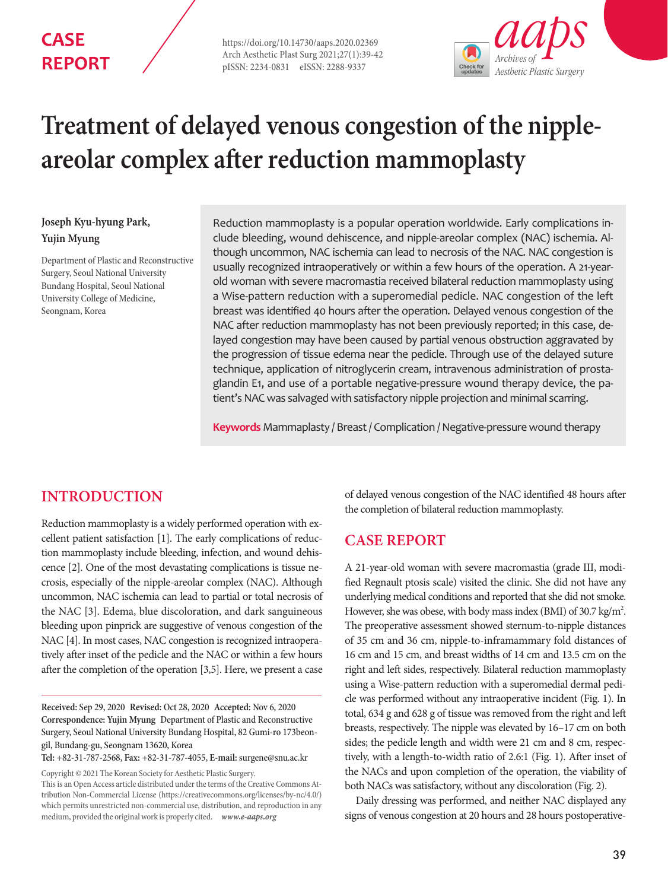## **CASE REPORT**

https://doi.org/10.14730/aaps.2020.02369 Arch Aesthetic Plast Surg 2021;27(1):39-42 pISSN: 2234-0831 eISSN: 2288-9337



# **Treatment of delayed venous congestion of the nippleareolar complex after reduction mammoplasty**

## **Joseph Kyu-hyung Park, Yujin Myung**

Department of Plastic and Reconstructive Surgery, Seoul National University Bundang Hospital, Seoul National University College of Medicine, Seongnam, Korea

Reduction mammoplasty is a popular operation worldwide. Early complications include bleeding, wound dehiscence, and nipple-areolar complex (NAC) ischemia. Although uncommon, NAC ischemia can lead to necrosis of the NAC. NAC congestion is usually recognized intraoperatively or within a few hours of the operation. A 21-yearold woman with severe macromastia received bilateral reduction mammoplasty using a Wise-pattern reduction with a superomedial pedicle. NAC congestion of the left breast was identified 40 hours after the operation. Delayed venous congestion of the NAC after reduction mammoplasty has not been previously reported; in this case, delayed congestion may have been caused by partial venous obstruction aggravated by the progression of tissue edema near the pedicle. Through use of the delayed suture technique, application of nitroglycerin cream, intravenous administration of prostaglandin E1, and use of a portable negative-pressure wound therapy device, the patient's NAC was salvaged with satisfactory nipple projection and minimal scarring.

**Keywords** Mammaplasty / Breast / Complication / Negative-pressure wound therapy

## **INTRODUCTION**

Reduction mammoplasty is a widely performed operation with excellent patient satisfaction [1]. The early complications of reduction mammoplasty include bleeding, infection, and wound dehiscence [2]. One of the most devastating complications is tissue necrosis, especially of the nipple-areolar complex (NAC). Although uncommon, NAC ischemia can lead to partial or total necrosis of the NAC [3]. Edema, blue discoloration, and dark sanguineous bleeding upon pinprick are suggestive of venous congestion of the NAC [4]. In most cases, NAC congestion is recognized intraoperatively after inset of the pedicle and the NAC or within a few hours after the completion of the operation [3,5]. Here, we present a case

**Received:** Sep 29, 2020 **Revised:** Oct 28, 2020 **Accepted:** Nov 6, 2020 **Correspondence: Yujin Myung** Department of Plastic and Reconstructive Surgery, Seoul National University Bundang Hospital, 82 Gumi-ro 173beongil, Bundang-gu, Seongnam 13620, Korea

**Tel:** +82-31-787-2568, **Fax:** +82-31-787-4055, **E-mail:** surgene@snu.ac.kr

Copyright © 2021 The Korean Society for Aesthetic Plastic Surgery.

This is an Open Access article distributed under the terms of the Creative Commons Attribution Non-Commercial License (https://creativecommons.org/licenses/by-nc/4.0/) which permits unrestricted non-commercial use, distribution, and reproduction in any medium, provided the original work is properly cited. *www.e-aaps.org* 

of delayed venous congestion of the NAC identified 48 hours after the completion of bilateral reduction mammoplasty.

## **CASE REPORT**

A 21-year-old woman with severe macromastia (grade III, modified Regnault ptosis scale) visited the clinic. She did not have any underlying medical conditions and reported that she did not smoke. However, she was obese, with body mass index (BMI) of 30.7 kg/m<sup>2</sup>. The preoperative assessment showed sternum-to-nipple distances of 35 cm and 36 cm, nipple-to-inframammary fold distances of 16 cm and 15 cm, and breast widths of 14 cm and 13.5 cm on the right and left sides, respectively. Bilateral reduction mammoplasty using a Wise-pattern reduction with a superomedial dermal pedicle was performed without any intraoperative incident (Fig. 1). In total, 634 g and 628 g of tissue was removed from the right and left breasts, respectively. The nipple was elevated by 16–17 cm on both sides; the pedicle length and width were 21 cm and 8 cm, respectively, with a length-to-width ratio of 2.6:1 (Fig. 1). After inset of the NACs and upon completion of the operation, the viability of both NACs was satisfactory, without any discoloration (Fig. 2).

Daily dressing was performed, and neither NAC displayed any signs of venous congestion at 20 hours and 28 hours postoperative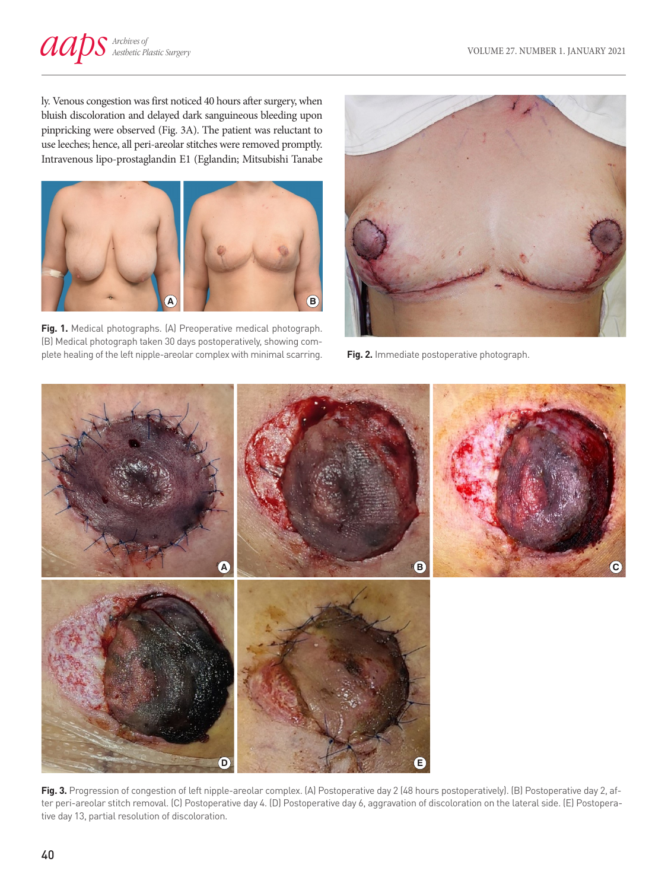ly. Venous congestion was first noticed 40 hours after surgery, when bluish discoloration and delayed dark sanguineous bleeding upon pinpricking were observed (Fig. 3A). The patient was reluctant to use leeches; hence, all peri-areolar stitches were removed promptly. Intravenous lipo-prostaglandin E1 (Eglandin; Mitsubishi Tanabe



**Fig. 1.** Medical photographs. (A) Preoperative medical photograph. (B) Medical photograph taken 30 days postoperatively, showing complete healing of the left nipple-areolar complex with minimal scarring.



**Fig. 2.** Immediate postoperative photograph.



Fig. 3. Progression of congestion of left nipple-areolar complex. (A) Postoperative day 2 (48 hours postoperatively). (B) Postoperative day 2, after peri-areolar stitch removal. (C) Postoperative day 4. (D) Postoperative day 6, aggravation of discoloration on the lateral side. (E) Postoperative day 13, partial resolution of discoloration.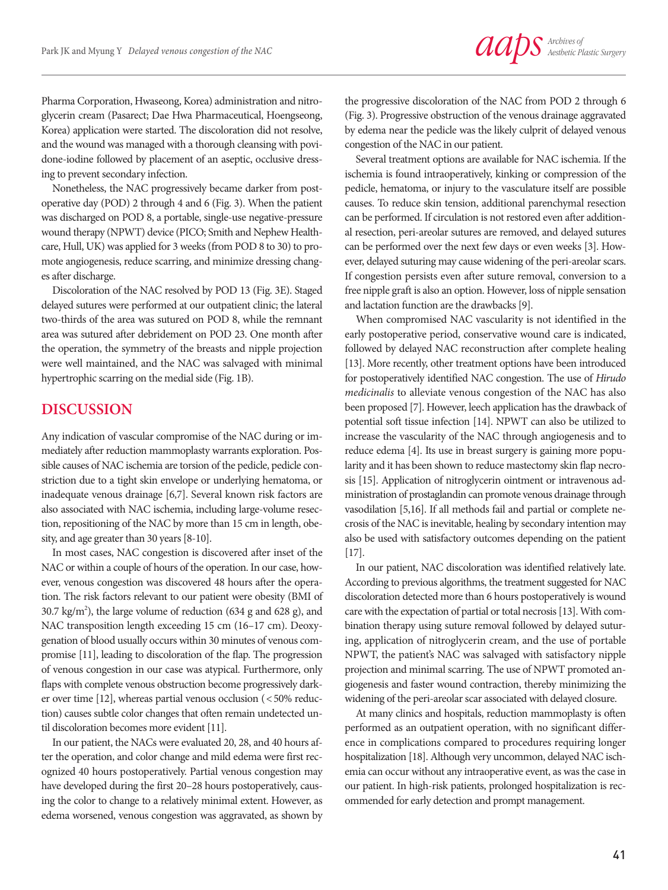Pharma Corporation, Hwaseong, Korea) administration and nitroglycerin cream (Pasarect; Dae Hwa Pharmaceutical, Hoengseong, Korea) application were started. The discoloration did not resolve, and the wound was managed with a thorough cleansing with povidone-iodine followed by placement of an aseptic, occlusive dressing to prevent secondary infection.

Nonetheless, the NAC progressively became darker from postoperative day (POD) 2 through 4 and 6 (Fig. 3). When the patient was discharged on POD 8, a portable, single-use negative-pressure wound therapy (NPWT) device (PICO; Smith and Nephew Healthcare, Hull, UK) was applied for 3 weeks (from POD 8 to 30) to promote angiogenesis, reduce scarring, and minimize dressing changes after discharge.

Discoloration of the NAC resolved by POD 13 (Fig. 3E). Staged delayed sutures were performed at our outpatient clinic; the lateral two-thirds of the area was sutured on POD 8, while the remnant area was sutured after debridement on POD 23. One month after the operation, the symmetry of the breasts and nipple projection were well maintained, and the NAC was salvaged with minimal hypertrophic scarring on the medial side (Fig. 1B).

### **DISCUSSION**

Any indication of vascular compromise of the NAC during or immediately after reduction mammoplasty warrants exploration. Possible causes of NAC ischemia are torsion of the pedicle, pedicle constriction due to a tight skin envelope or underlying hematoma, or inadequate venous drainage [6,7]. Several known risk factors are also associated with NAC ischemia, including large-volume resection, repositioning of the NAC by more than 15 cm in length, obesity, and age greater than 30 years [8-10].

In most cases, NAC congestion is discovered after inset of the NAC or within a couple of hours of the operation. In our case, however, venous congestion was discovered 48 hours after the operation. The risk factors relevant to our patient were obesity (BMI of 30.7 kg/m<sup>2</sup>), the large volume of reduction (634 g and 628 g), and NAC transposition length exceeding 15 cm (16–17 cm). Deoxygenation of blood usually occurs within 30 minutes of venous compromise [11], leading to discoloration of the flap. The progression of venous congestion in our case was atypical. Furthermore, only flaps with complete venous obstruction become progressively darker over time [12], whereas partial venous occlusion (<50% reduction) causes subtle color changes that often remain undetected until discoloration becomes more evident [11].

In our patient, the NACs were evaluated 20, 28, and 40 hours after the operation, and color change and mild edema were first recognized 40 hours postoperatively. Partial venous congestion may have developed during the first 20–28 hours postoperatively, causing the color to change to a relatively minimal extent. However, as edema worsened, venous congestion was aggravated, as shown by

the progressive discoloration of the NAC from POD 2 through 6 (Fig. 3). Progressive obstruction of the venous drainage aggravated by edema near the pedicle was the likely culprit of delayed venous congestion of the NAC in our patient.

Several treatment options are available for NAC ischemia. If the ischemia is found intraoperatively, kinking or compression of the pedicle, hematoma, or injury to the vasculature itself are possible causes. To reduce skin tension, additional parenchymal resection can be performed. If circulation is not restored even after additional resection, peri-areolar sutures are removed, and delayed sutures can be performed over the next few days or even weeks [3]. However, delayed suturing may cause widening of the peri-areolar scars. If congestion persists even after suture removal, conversion to a free nipple graft is also an option. However, loss of nipple sensation and lactation function are the drawbacks [9].

When compromised NAC vascularity is not identified in the early postoperative period, conservative wound care is indicated, followed by delayed NAC reconstruction after complete healing [13]. More recently, other treatment options have been introduced for postoperatively identified NAC congestion. The use of *Hirudo medicinalis* to alleviate venous congestion of the NAC has also been proposed [7]. However, leech application has the drawback of potential soft tissue infection [14]. NPWT can also be utilized to increase the vascularity of the NAC through angiogenesis and to reduce edema [4]. Its use in breast surgery is gaining more popularity and it has been shown to reduce mastectomy skin flap necrosis [15]. Application of nitroglycerin ointment or intravenous administration of prostaglandin can promote venous drainage through vasodilation [5,16]. If all methods fail and partial or complete necrosis of the NAC is inevitable, healing by secondary intention may also be used with satisfactory outcomes depending on the patient [17].

In our patient, NAC discoloration was identified relatively late. According to previous algorithms, the treatment suggested for NAC discoloration detected more than 6 hours postoperatively is wound care with the expectation of partial or total necrosis [13]. With combination therapy using suture removal followed by delayed suturing, application of nitroglycerin cream, and the use of portable NPWT, the patient's NAC was salvaged with satisfactory nipple projection and minimal scarring. The use of NPWT promoted angiogenesis and faster wound contraction, thereby minimizing the widening of the peri-areolar scar associated with delayed closure.

At many clinics and hospitals, reduction mammoplasty is often performed as an outpatient operation, with no significant difference in complications compared to procedures requiring longer hospitalization [18]. Although very uncommon, delayed NAC ischemia can occur without any intraoperative event, as was the case in our patient. In high-risk patients, prolonged hospitalization is recommended for early detection and prompt management.